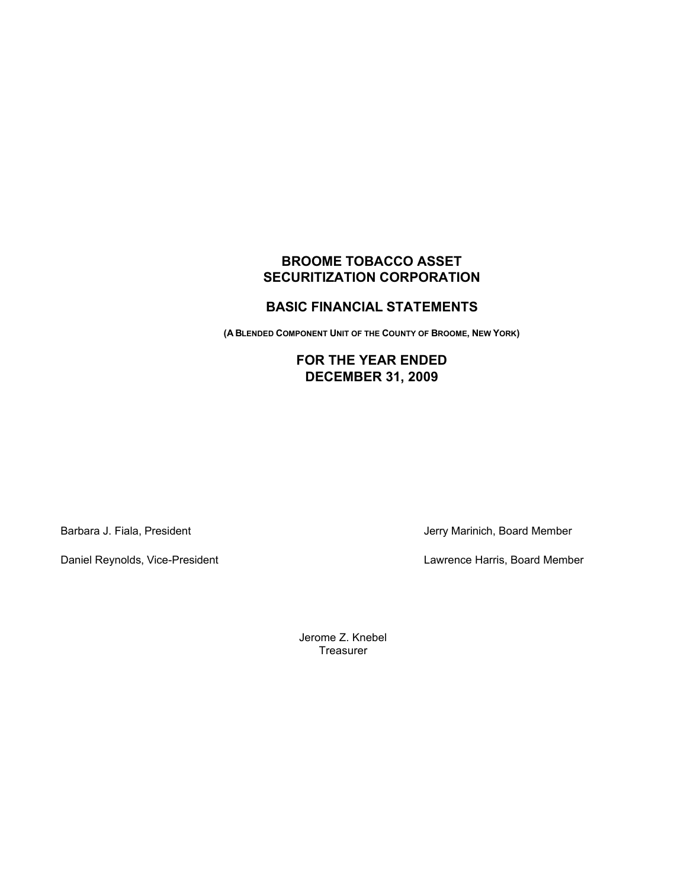# **BROOME TOBACCO ASSET SECURITIZATION CORPORATION**

## **BASIC FINANCIAL STATEMENTS**

**(A BLENDED COMPONENT UNIT OF THE COUNTY OF BROOME, NEW YORK)**

## **FOR THE YEAR ENDED DECEMBER 31, 2009**

Barbara J. Fiala, President Verry Marinich, Board Member

Daniel Reynolds, Vice-President Lawrence Harris, Board Member

Jerome Z. Knebel **Treasurer**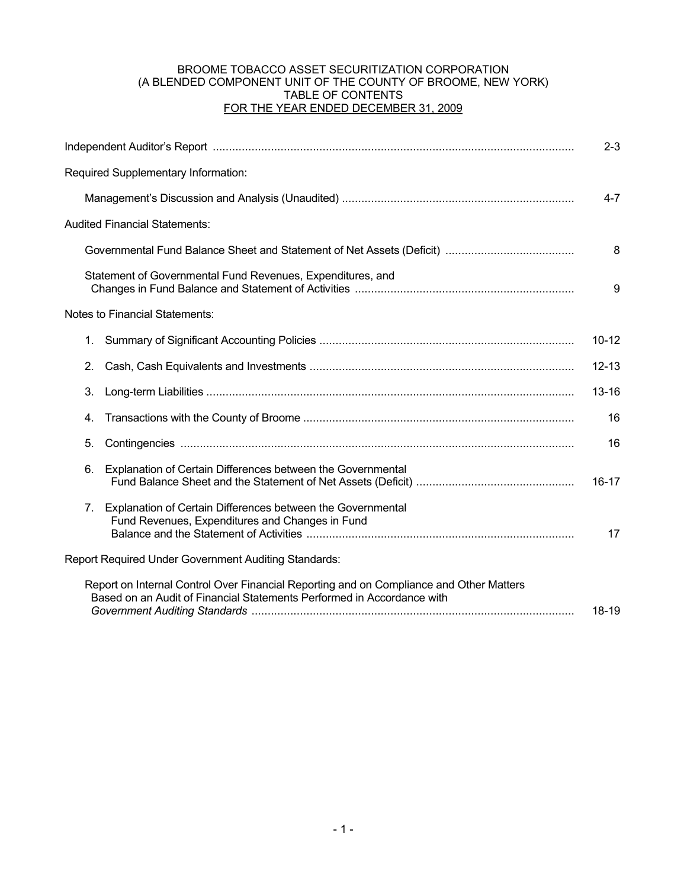## BROOME TOBACCO ASSET SECURITIZATION CORPORATION (A BLENDED COMPONENT UNIT OF THE COUNTY OF BROOME, NEW YORK) TABLE OF CONTENTS FOR THE YEAR ENDED DECEMBER 31, 2009

|                                                                                                                                                                            | $2 - 3$   |  |  |  |  |  |  |
|----------------------------------------------------------------------------------------------------------------------------------------------------------------------------|-----------|--|--|--|--|--|--|
| Required Supplementary Information:                                                                                                                                        |           |  |  |  |  |  |  |
|                                                                                                                                                                            | $4 - 7$   |  |  |  |  |  |  |
| <b>Audited Financial Statements:</b>                                                                                                                                       |           |  |  |  |  |  |  |
|                                                                                                                                                                            | 8         |  |  |  |  |  |  |
| Statement of Governmental Fund Revenues, Expenditures, and                                                                                                                 |           |  |  |  |  |  |  |
| <b>Notes to Financial Statements:</b>                                                                                                                                      |           |  |  |  |  |  |  |
| 1.                                                                                                                                                                         | $10 - 12$ |  |  |  |  |  |  |
| 2.                                                                                                                                                                         | $12 - 13$ |  |  |  |  |  |  |
| 3.                                                                                                                                                                         | $13 - 16$ |  |  |  |  |  |  |
| 4.                                                                                                                                                                         | 16        |  |  |  |  |  |  |
| 5.                                                                                                                                                                         | 16        |  |  |  |  |  |  |
| Explanation of Certain Differences between the Governmental<br>6.                                                                                                          | 16-17     |  |  |  |  |  |  |
| Explanation of Certain Differences between the Governmental<br>7.<br>Fund Revenues, Expenditures and Changes in Fund                                                       | 17        |  |  |  |  |  |  |
| Report Required Under Government Auditing Standards:                                                                                                                       |           |  |  |  |  |  |  |
| Report on Internal Control Over Financial Reporting and on Compliance and Other Matters<br>Based on an Audit of Financial Statements Performed in Accordance with<br>18-19 |           |  |  |  |  |  |  |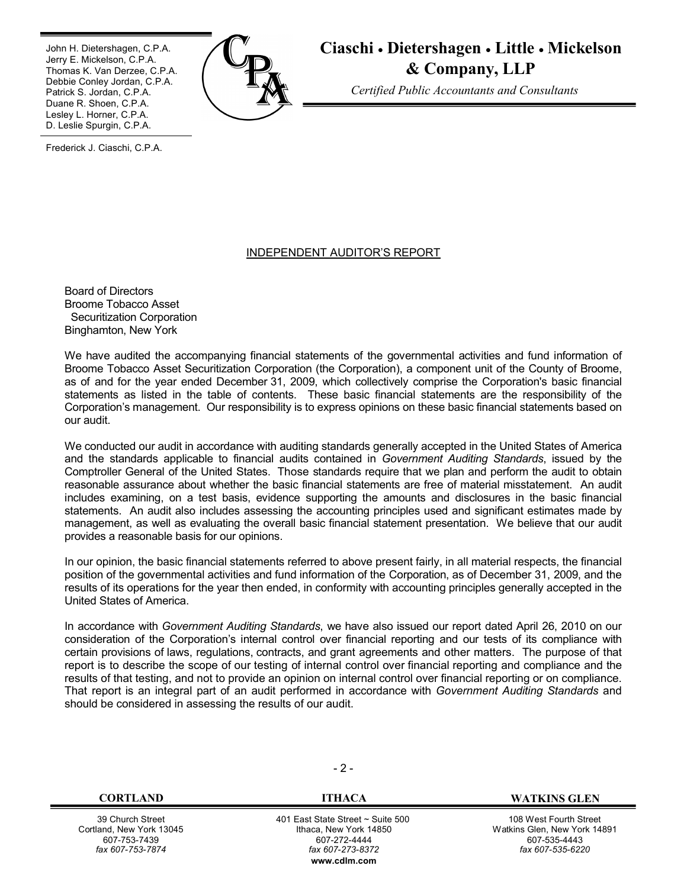٦ John H. Dietershagen, C.P.A. Jerry E. Mickelson, C.P.A. Thomas K. Van Derzee, C.P.A. Debbie Conley Jordan, C.P.A. Patrick S. Jordan, C.P.A. Duane R. Shoen, C.P.A. Lesley L. Horner, C.P.A. D. Leslie Spurgin, C.P.A.



**Ciaschi Dietershagen Little Mickelson & Company, LLP**

*Certified Public Accountants and Consultants*

Frederick J. Ciaschi, C.P.A.

#### INDEPENDENT AUDITOR'S REPORT

Board of Directors Broome Tobacco Asset Securitization Corporation Binghamton, New York

We have audited the accompanying financial statements of the governmental activities and fund information of Broome Tobacco Asset Securitization Corporation (the Corporation), a component unit of the County of Broome, as of and for the year ended December 31, 2009, which collectively comprise the Corporation's basic financial statements as listed in the table of contents. These basic financial statements are the responsibility of the Corporation's management. Our responsibility is to express opinions on these basic financial statements based on our audit.

We conducted our audit in accordance with auditing standards generally accepted in the United States of America and the standards applicable to financial audits contained in *Government Auditing Standards*, issued by the Comptroller General of the United States. Those standards require that we plan and perform the audit to obtain reasonable assurance about whether the basic financial statements are free of material misstatement. An audit includes examining, on a test basis, evidence supporting the amounts and disclosures in the basic financial statements. An audit also includes assessing the accounting principles used and significant estimates made by management, as well as evaluating the overall basic financial statement presentation. We believe that our audit provides a reasonable basis for our opinions.

In our opinion, the basic financial statements referred to above present fairly, in all material respects, the financial position of the governmental activities and fund information of the Corporation, as of December 31, 2009, and the results of its operations for the year then ended, in conformity with accounting principles generally accepted in the United States of America.

In accordance with *Government Auditing Standards*, we have also issued our report dated April 26, 2010 on our consideration of the Corporation's internal control over financial reporting and our tests of its compliance with certain provisions of laws, regulations, contracts, and grant agreements and other matters. The purpose of that report is to describe the scope of our testing of internal control over financial reporting and compliance and the results of that testing, and not to provide an opinion on internal control over financial reporting or on compliance. That report is an integral part of an audit performed in accordance with *Government Auditing Standards* and should be considered in assessing the results of our audit.

39 Church Street Cortland, New York 13045 607-753-7439 *fax 607-753-7874*

 $-2 -$ 

 401 East State Street ~ Suite 500 Ithaca, New York 14850 607-272-4444 *fax 607-273-8372* **w[ww.cdlm.com](www.cdlm.com)**

**CORTLANDIACA WATKINS GLEN** 

108 West Fourth Street Watkins Glen, New York 14891 607-535-4443 *fax 607-535-6220*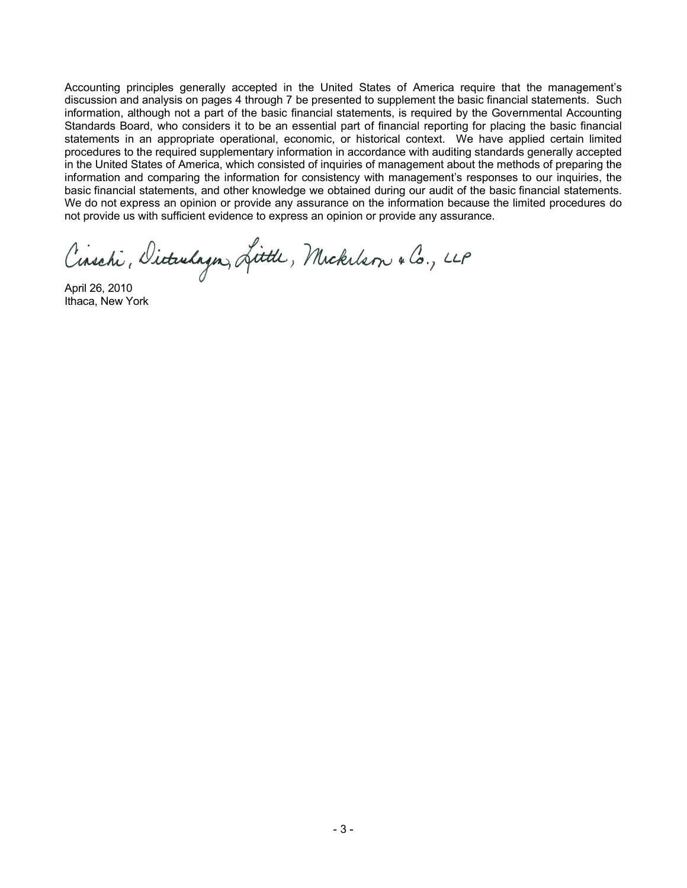Accounting principles generally accepted in the United States of America require that the management's discussion and analysis on pages 4 through 7 be presented to supplement the basic financial statements. Such information, although not a part of the basic financial statements, is required by the Governmental Accounting Standards Board, who considers it to be an essential part of financial reporting for placing the basic financial statements in an appropriate operational, economic, or historical context. We have applied certain limited procedures to the required supplementary information in accordance with auditing standards generally accepted in the United States of America, which consisted of inquiries of management about the methods of preparing the information and comparing the information for consistency with management's responses to our inquiries, the basic financial statements, and other knowledge we obtained during our audit of the basic financial statements. We do not express an opinion or provide any assurance on the information because the limited procedures do not provide us with sufficient evidence to express an opinion or provide any assurance.

Cinschi, Dicturlagn, Little, Mickelson & Co., LLP

April 26, 2010 Ithaca, New York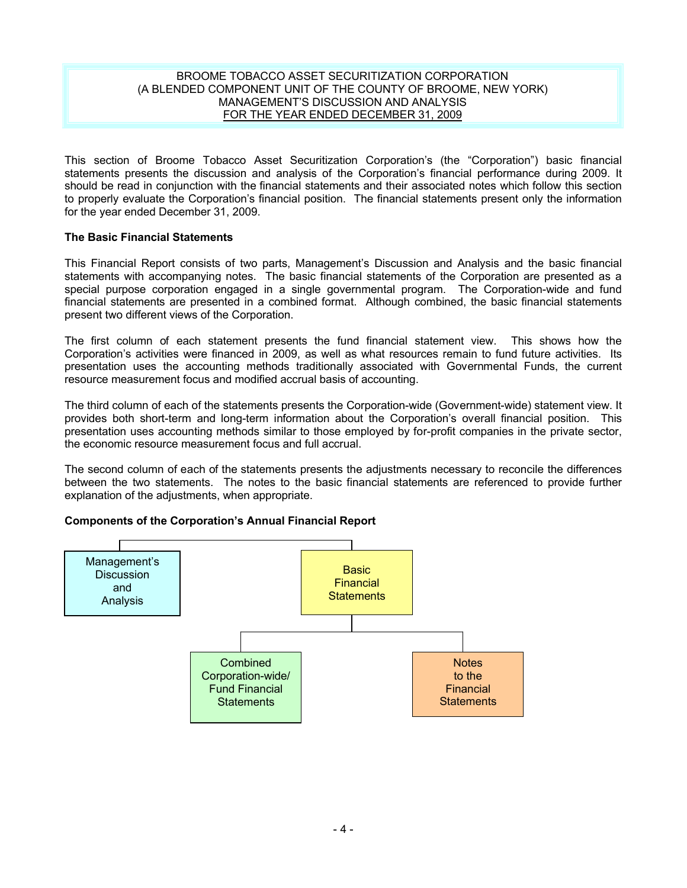#### BROOME TOBACCO ASSET SECURITIZATION CORPORATION (A BLENDED COMPONENT UNIT OF THE COUNTY OF BROOME, NEW YORK) MANAGEMENT'S DISCUSSION AND ANALYSIS FOR THE YEAR ENDED DECEMBER 31, 2009

This section of Broome Tobacco Asset Securitization Corporation's (the "Corporation") basic financial statements presents the discussion and analysis of the Corporation's financial performance during 2009. It should be read in conjunction with the financial statements and their associated notes which follow this section to properly evaluate the Corporation's financial position. The financial statements present only the information for the year ended December 31, 2009.

## **The Basic Financial Statements**

This Financial Report consists of two parts, Management's Discussion and Analysis and the basic financial statements with accompanying notes. The basic financial statements of the Corporation are presented as a special purpose corporation engaged in a single governmental program. The Corporation-wide and fund financial statements are presented in a combined format. Although combined, the basic financial statements present two different views of the Corporation.

The first column of each statement presents the fund financial statement view. This shows how the Corporation's activities were financed in 2009, as well as what resources remain to fund future activities. Its presentation uses the accounting methods traditionally associated with Governmental Funds, the current resource measurement focus and modified accrual basis of accounting.

The third column of each of the statements presents the Corporation-wide (Government-wide) statement view. It provides both short-term and long-term information about the Corporation's overall financial position. This presentation uses accounting methods similar to those employed by for-profit companies in the private sector, the economic resource measurement focus and full accrual.

The second column of each of the statements presents the adjustments necessary to reconcile the differences between the two statements. The notes to the basic financial statements are referenced to provide further explanation of the adjustments, when appropriate.

## **Components of the Corporation's Annual Financial Report**

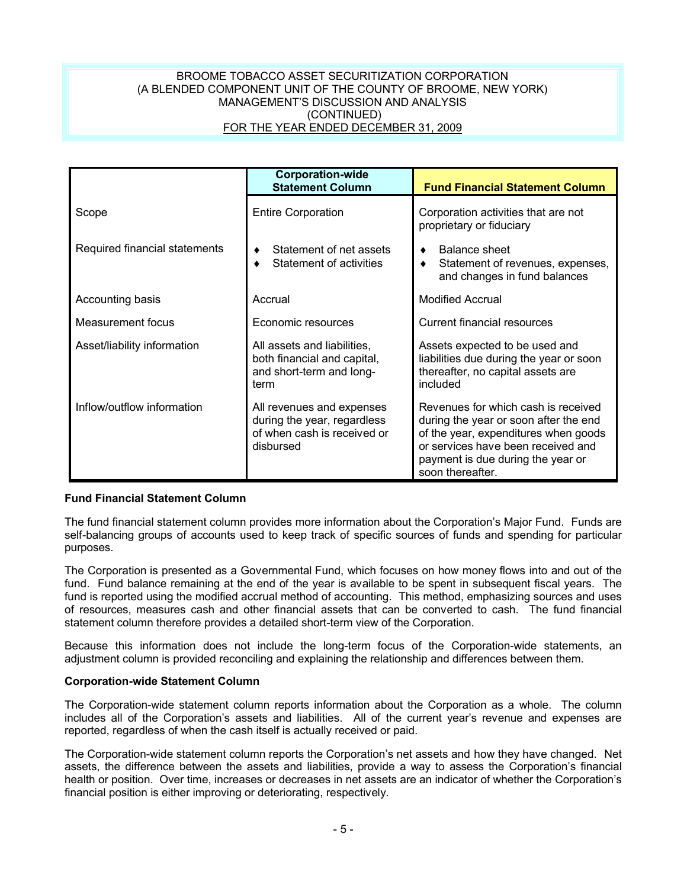## BROOME TOBACCO ASSET SECURITIZATION CORPORATION (A BLENDED COMPONENT UNIT OF THE COUNTY OF BROOME, NEW YORK) MANAGEMENT'S DISCUSSION AND ANALYSIS (CONTINUED) FOR THE YEAR ENDED DECEMBER 31, 2009

|                               | <b>Corporation-wide</b><br><b>Statement Column</b>                                                   | <b>Fund Financial Statement Column</b>                                                                                                                                                                              |
|-------------------------------|------------------------------------------------------------------------------------------------------|---------------------------------------------------------------------------------------------------------------------------------------------------------------------------------------------------------------------|
| Scope                         | <b>Entire Corporation</b>                                                                            | Corporation activities that are not<br>proprietary or fiduciary                                                                                                                                                     |
| Required financial statements | Statement of net assets<br>Statement of activities                                                   | Balance sheet<br>Statement of revenues, expenses,<br>and changes in fund balances                                                                                                                                   |
| Accounting basis              | Accrual                                                                                              | <b>Modified Accrual</b>                                                                                                                                                                                             |
| Measurement focus             | Economic resources                                                                                   | Current financial resources                                                                                                                                                                                         |
| Asset/liability information   | All assets and liabilities,<br>both financial and capital,<br>and short-term and long-<br>term       | Assets expected to be used and<br>liabilities due during the year or soon<br>thereafter, no capital assets are<br>included                                                                                          |
| Inflow/outflow information    | All revenues and expenses<br>during the year, regardless<br>of when cash is received or<br>disbursed | Revenues for which cash is received<br>during the year or soon after the end<br>of the year, expenditures when goods<br>or services have been received and<br>payment is due during the year or<br>soon thereafter. |

## **Fund Financial Statement Column**

The fund financial statement column provides more information about the Corporation's Major Fund. Funds are self-balancing groups of accounts used to keep track of specific sources of funds and spending for particular purposes.

The Corporation is presented as a Governmental Fund, which focuses on how money flows into and out of the fund. Fund balance remaining at the end of the year is available to be spent in subsequent fiscal years. The fund is reported using the modified accrual method of accounting. This method, emphasizing sources and uses of resources, measures cash and other financial assets that can be converted to cash. The fund financial statement column therefore provides a detailed short-term view of the Corporation.

Because this information does not include the long-term focus of the Corporation-wide statements, an adjustment column is provided reconciling and explaining the relationship and differences between them.

#### **Corporation-wide Statement Column**

The Corporation-wide statement column reports information about the Corporation as a whole. The column includes all of the Corporation's assets and liabilities. All of the current year's revenue and expenses are reported, regardless of when the cash itself is actually received or paid.

The Corporation-wide statement column reports the Corporation's net assets and how they have changed. Net assets, the difference between the assets and liabilities, provide a way to assess the Corporation's financial health or position. Over time, increases or decreases in net assets are an indicator of whether the Corporation's financial position is either improving or deteriorating, respectively.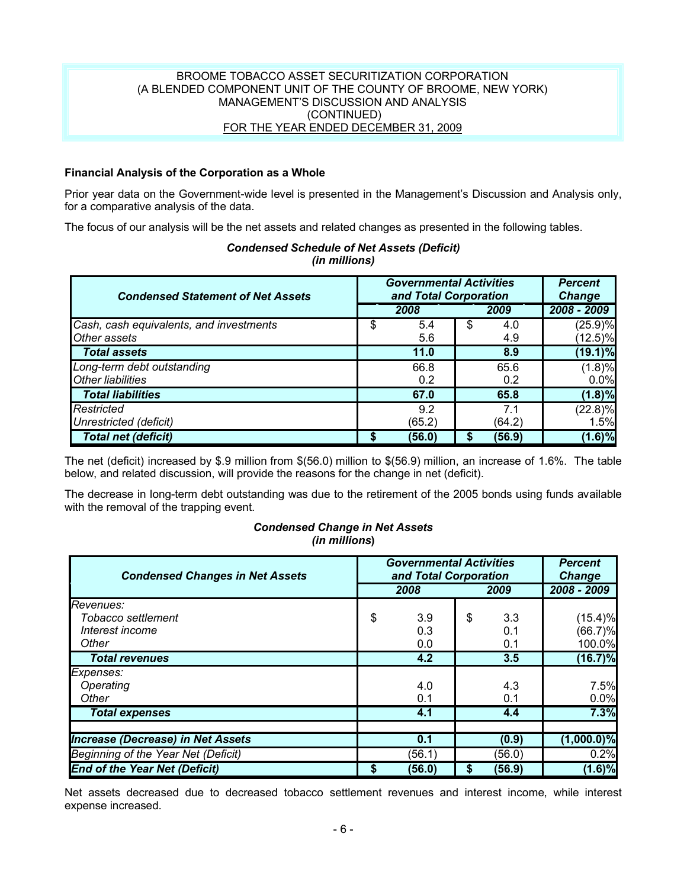## BROOME TOBACCO ASSET SECURITIZATION CORPORATION (A BLENDED COMPONENT UNIT OF THE COUNTY OF BROOME, NEW YORK) MANAGEMENT'S DISCUSSION AND ANALYSIS (CONTINUED) FOR THE YEAR ENDED DECEMBER 31, 2009

## **Financial Analysis of the Corporation as a Whole**

Prior year data on the Government-wide level is presented in the Management's Discussion and Analysis only, for a comparative analysis of the data.

The focus of our analysis will be the net assets and related changes as presented in the following tables.

| <b>Condensed Statement of Net Assets</b> | <b>Governmental Activities</b><br>and Total Corporation | <b>Percent</b><br><b>Change</b> |             |
|------------------------------------------|---------------------------------------------------------|---------------------------------|-------------|
|                                          | 2008                                                    | 2009                            | 2008 - 2009 |
| Cash, cash equivalents, and investments  | \$<br>5.4                                               | \$<br>4.0                       | (25.9)%     |
| Other assets                             | 5.6                                                     | 4.9                             | $(12.5)\%$  |
| <b>Total assets</b>                      | 11.0                                                    | 8.9                             | $(19.1)\%$  |
| Long-term debt outstanding               | 66.8                                                    | 65.6                            | (1.8)%      |
| <b>Other liabilities</b>                 | 0.2                                                     | 0.2                             | 0.0%        |
| <b>Total liabilities</b>                 | 67.0                                                    | 65.8                            | $(1.8)\%$   |
| Restricted                               | 9.2                                                     | 7.1                             | $(22.8)\%$  |
| Unrestricted (deficit)                   | (65.2)                                                  | (64.2)                          | 1.5%        |
| <b>Total net (deficit)</b>               | (56.0)                                                  | (56.9)                          | $(1.6)\%$   |

## *Condensed Schedule of Net Assets (Deficit) (in millions)*

The net (deficit) increased by \$.9 million from \$(56.0) million to \$(56.9) million, an increase of 1.6%. The table below, and related discussion, will provide the reasons for the change in net (deficit).

The decrease in long-term debt outstanding was due to the retirement of the 2005 bonds using funds available with the removal of the trapping event.

#### *Condensed Change in Net Assets (in millions***)**

| <b>Condensed Changes in Net Assets</b>   | <b>Governmental Activities</b><br>and Total Corporation | <b>Percent</b><br><b>Change</b> |               |
|------------------------------------------|---------------------------------------------------------|---------------------------------|---------------|
|                                          | 2008                                                    | 2009                            | 2008 - 2009   |
| Revenues:                                |                                                         |                                 |               |
| Tobacco settlement                       | \$<br>3.9                                               | \$<br>3.3                       | (15.4)%       |
| Interest income                          | 0.3                                                     | 0.1                             | $(66.7)\%$    |
| Other                                    | 0.0                                                     | 0.1                             | 100.0%        |
| <b>Total revenues</b>                    | 4.2                                                     | 3.5                             | $(16.7)\%$    |
| Expenses:                                |                                                         |                                 |               |
| Operating                                | 4.0                                                     | 4.3                             | 7.5%          |
| Other                                    | 0.1                                                     | 0.1                             | 0.0%          |
| <b>Total expenses</b>                    | 4.1                                                     | 4.4                             | 7.3%          |
|                                          |                                                         |                                 |               |
| <b>Increase (Decrease) in Net Assets</b> | 0.1                                                     | (0.9)                           | $(1,000.0)\%$ |
| Beginning of the Year Net (Deficit)      | (56.1)                                                  | (56.0)                          | 0.2%          |
| <b>End of the Year Net (Deficit)</b>     | \$<br>(56.0)                                            | \$<br>(56.9)                    | $(1.6)\%$     |

Net assets decreased due to decreased tobacco settlement revenues and interest income, while interest expense increased.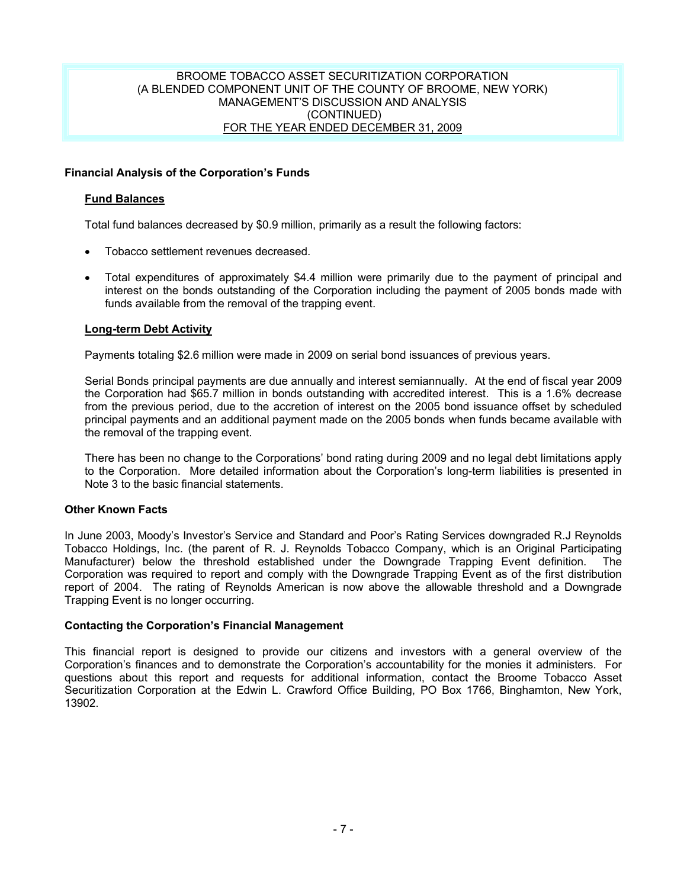### BROOME TOBACCO ASSET SECURITIZATION CORPORATION (A BLENDED COMPONENT UNIT OF THE COUNTY OF BROOME, NEW YORK) MANAGEMENT'S DISCUSSION AND ANALYSIS (CONTINUED) FOR THE YEAR ENDED DECEMBER 31, 2009

## **Financial Analysis of the Corporation's Funds**

## **Fund Balances**

Total fund balances decreased by \$0.9 million, primarily as a result the following factors:

- Tobacco settlement revenues decreased.
- Total expenditures of approximately \$4.4 million were primarily due to the payment of principal and interest on the bonds outstanding of the Corporation including the payment of 2005 bonds made with funds available from the removal of the trapping event.

## **Long-term Debt Activity**

Payments totaling \$2.6 million were made in 2009 on serial bond issuances of previous years.

Serial Bonds principal payments are due annually and interest semiannually. At the end of fiscal year 2009 the Corporation had \$65.7 million in bonds outstanding with accredited interest. This is a 1.6% decrease from the previous period, due to the accretion of interest on the 2005 bond issuance offset by scheduled principal payments and an additional payment made on the 2005 bonds when funds became available with the removal of the trapping event.

There has been no change to the Corporations' bond rating during 2009 and no legal debt limitations apply to the Corporation. More detailed information about the Corporation's long-term liabilities is presented in Note 3 to the basic financial statements.

#### **Other Known Facts**

In June 2003, Moody's Investor's Service and Standard and Poor's Rating Services downgraded R.J Reynolds Tobacco Holdings, Inc. (the parent of R. J. Reynolds Tobacco Company, which is an Original Participating Manufacturer) below the threshold established under the Downgrade Trapping Event definition. The Corporation was required to report and comply with the Downgrade Trapping Event as of the first distribution report of 2004. The rating of Reynolds American is now above the allowable threshold and a Downgrade Trapping Event is no longer occurring.

#### **Contacting the Corporation's Financial Management**

This financial report is designed to provide our citizens and investors with a general overview of the Corporation's finances and to demonstrate the Corporation's accountability for the monies it administers. For questions about this report and requests for additional information, contact the Broome Tobacco Asset Securitization Corporation at the Edwin L. Crawford Office Building, PO Box 1766, Binghamton, New York, 13902.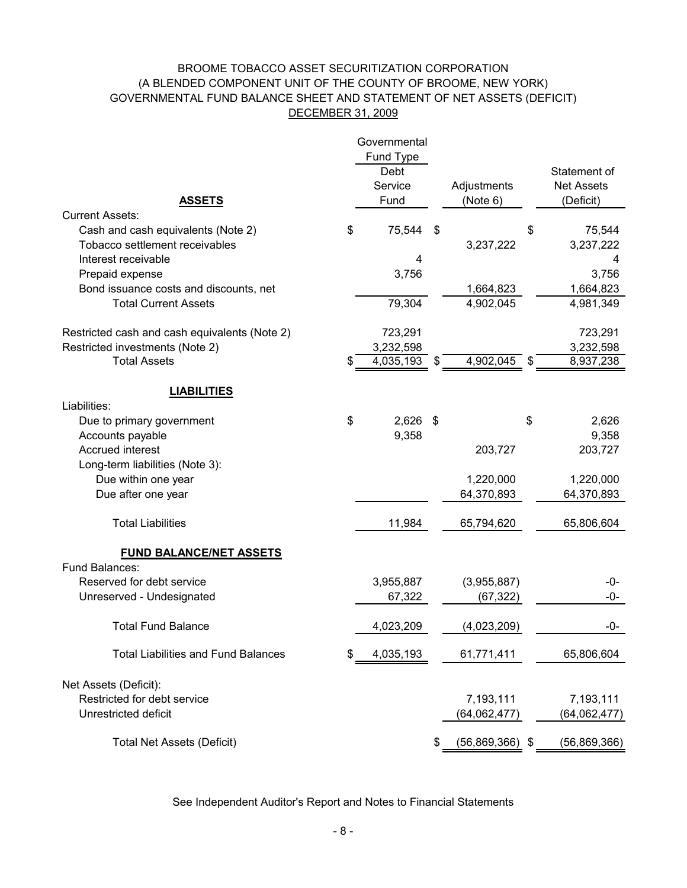## BROOME TOBACCO ASSET SECURITIZATION CORPORATION GOVERNMENTAL FUND BALANCE SHEET AND STATEMENT OF NET ASSETS (DEFICIT) DECEMBER 31, 2009 (A BLENDED COMPONENT UNIT OF THE COUNTY OF BROOME, NEW YORK)

| <b>ASSETS</b>                                 | Governmental<br>Fund Type<br>Debt<br>Service<br>Fund | Adjustments<br>(Note 6) |               | Statement of<br><b>Net Assets</b><br>(Deficit) |
|-----------------------------------------------|------------------------------------------------------|-------------------------|---------------|------------------------------------------------|
| <b>Current Assets:</b>                        |                                                      |                         |               |                                                |
| Cash and cash equivalents (Note 2)            | \$<br>75,544                                         | \$                      | \$            | 75,544                                         |
| Tobacco settlement receivables                |                                                      | 3,237,222               |               | 3,237,222                                      |
| Interest receivable                           | 4                                                    |                         |               | 4                                              |
| Prepaid expense                               | 3,756                                                |                         |               | 3,756                                          |
| Bond issuance costs and discounts, net        |                                                      | 1,664,823               |               | 1,664,823                                      |
| <b>Total Current Assets</b>                   | 79,304                                               | 4,902,045               |               | 4,981,349                                      |
| Restricted cash and cash equivalents (Note 2) | 723,291                                              |                         |               | 723,291                                        |
| Restricted investments (Note 2)               | 3,232,598                                            |                         |               | 3,232,598                                      |
| <b>Total Assets</b>                           | \$<br>4,035,193                                      | \$<br>4,902,045         | $\frac{1}{2}$ | 8,937,238                                      |
| <b>LIABILITIES</b>                            |                                                      |                         |               |                                                |
| Liabilities:                                  |                                                      |                         |               |                                                |
| Due to primary government                     | \$<br>2,626                                          | \$                      | \$            | 2,626                                          |
| Accounts payable                              | 9,358                                                |                         |               | 9,358                                          |
| Accrued interest                              |                                                      | 203,727                 |               | 203,727                                        |
| Long-term liabilities (Note 3):               |                                                      |                         |               |                                                |
| Due within one year                           |                                                      | 1,220,000               |               | 1,220,000                                      |
| Due after one year                            |                                                      | 64,370,893              |               | 64,370,893                                     |
| <b>Total Liabilities</b>                      | 11,984                                               | 65,794,620              |               | 65,806,604                                     |
| <b>FUND BALANCE/NET ASSETS</b>                |                                                      |                         |               |                                                |
| Fund Balances:                                |                                                      |                         |               |                                                |
| Reserved for debt service                     | 3,955,887                                            | (3,955,887)             |               | -0-                                            |
| Unreserved - Undesignated                     | 67,322                                               | (67, 322)               |               | -0-                                            |
| <b>Total Fund Balance</b>                     | 4,023,209                                            | (4,023,209)             |               | -0-                                            |
| <b>Total Liabilities and Fund Balances</b>    | \$<br>4,035,193                                      | 61,771,411              |               | 65,806,604                                     |
| Net Assets (Deficit):                         |                                                      |                         |               |                                                |
| Restricted for debt service                   |                                                      | 7,193,111               |               | 7,193,111                                      |
| Unrestricted deficit                          |                                                      | (64,062,477)            |               | (64, 062, 477)                                 |
| <b>Total Net Assets (Deficit)</b>             |                                                      | \$<br>$(56,869,366)$ \$ |               | (56,869,366)                                   |

See Independent Auditor's Report and Notes to Financial Statements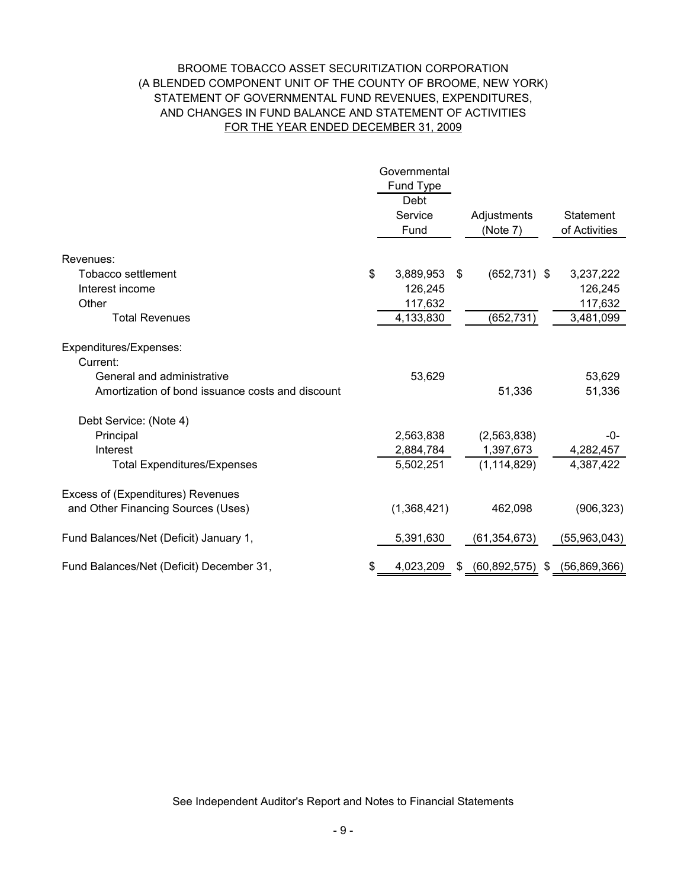## BROOME TOBACCO ASSET SECURITIZATION CORPORATION (A BLENDED COMPONENT UNIT OF THE COUNTY OF BROOME, NEW YORK) STATEMENT OF GOVERNMENTAL FUND REVENUES, EXPENDITURES, FOR THE YEAR ENDED DECEMBER 31, 2009 AND CHANGES IN FUND BALANCE AND STATEMENT OF ACTIVITIES

|                                                  | Governmental<br>Fund Type<br>Debt |                         |                            |
|--------------------------------------------------|-----------------------------------|-------------------------|----------------------------|
|                                                  | Service<br>Fund                   | Adjustments<br>(Note 7) | Statement<br>of Activities |
| Revenues:                                        |                                   |                         |                            |
| <b>Tobacco settlement</b>                        | \$<br>3,889,953                   | \$<br>$(652, 731)$ \$   | 3,237,222                  |
| Interest income                                  | 126,245                           |                         | 126,245                    |
| Other                                            | 117,632                           |                         | 117,632                    |
| <b>Total Revenues</b>                            | 4,133,830                         | (652, 731)              | 3,481,099                  |
| Expenditures/Expenses:                           |                                   |                         |                            |
| Current:<br>General and administrative           |                                   |                         |                            |
|                                                  | 53,629                            |                         | 53,629                     |
| Amortization of bond issuance costs and discount |                                   | 51,336                  | 51,336                     |
| Debt Service: (Note 4)                           |                                   |                         |                            |
| Principal                                        | 2,563,838                         | (2,563,838)             | -0-                        |
| Interest                                         | 2,884,784                         | 1,397,673               | 4,282,457                  |
| <b>Total Expenditures/Expenses</b>               | 5,502,251                         | (1, 114, 829)           | 4,387,422                  |
| Excess of (Expenditures) Revenues                |                                   |                         |                            |
| and Other Financing Sources (Uses)               | (1,368,421)                       | 462,098                 | (906, 323)                 |
| Fund Balances/Net (Deficit) January 1,           | 5,391,630                         | (61, 354, 673)          | (55,963,043)               |
| Fund Balances/Net (Deficit) December 31,         | \$<br>4,023,209                   | \$<br>(60, 892, 575)    | \$<br>(56,869,366)         |

See Independent Auditor's Report and Notes to Financial Statements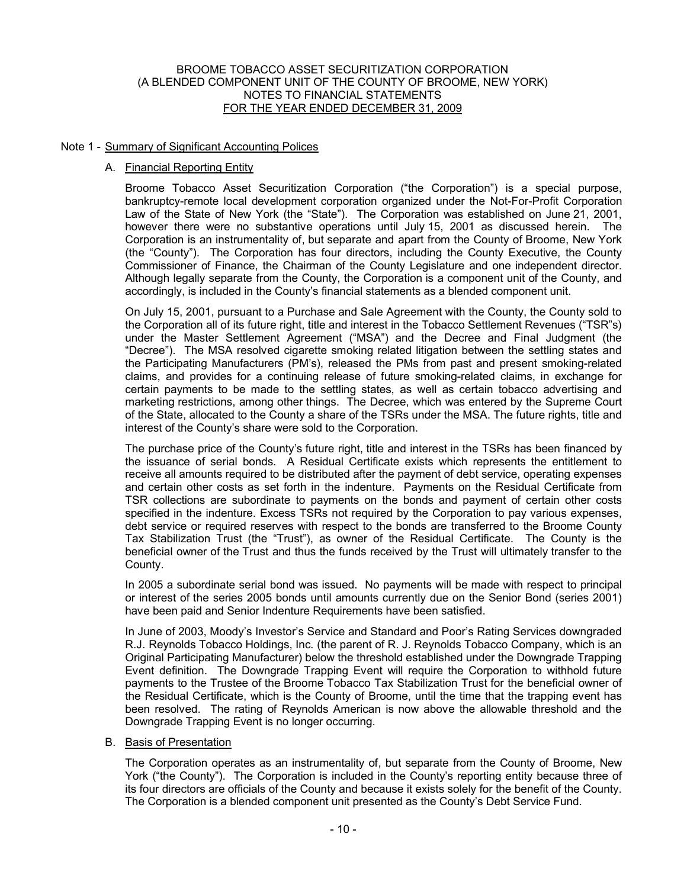#### Note 1 - Summary of Significant Accounting Polices

#### A. Financial Reporting Entity

Broome Tobacco Asset Securitization Corporation ("the Corporation") is a special purpose, bankruptcy-remote local development corporation organized under the Not-For-Profit Corporation Law of the State of New York (the "State"). The Corporation was established on June 21, 2001, however there were no substantive operations until July 15, 2001 as discussed herein. The Corporation is an instrumentality of, but separate and apart from the County of Broome, New York (the "County"). The Corporation has four directors, including the County Executive, the County Commissioner of Finance, the Chairman of the County Legislature and one independent director. Although legally separate from the County, the Corporation is a component unit of the County, and accordingly, is included in the County's financial statements as a blended component unit.

On July 15, 2001, pursuant to a Purchase and Sale Agreement with the County, the County sold to the Corporation all of its future right, title and interest in the Tobacco Settlement Revenues ("TSR"s) under the Master Settlement Agreement ("MSA") and the Decree and Final Judgment (the "Decree"). The MSA resolved cigarette smoking related litigation between the settling states and the Participating Manufacturers (PM's), released the PMs from past and present smoking-related claims, and provides for a continuing release of future smoking-related claims, in exchange for certain payments to be made to the settling states, as well as certain tobacco advertising and marketing restrictions, among other things. The Decree, which was entered by the Supreme Court of the State, allocated to the County a share of the TSRs under the MSA. The future rights, title and interest of the County's share were sold to the Corporation.

The purchase price of the County's future right, title and interest in the TSRs has been financed by the issuance of serial bonds. A Residual Certificate exists which represents the entitlement to receive all amounts required to be distributed after the payment of debt service, operating expenses and certain other costs as set forth in the indenture. Payments on the Residual Certificate from TSR collections are subordinate to payments on the bonds and payment of certain other costs specified in the indenture. Excess TSRs not required by the Corporation to pay various expenses, debt service or required reserves with respect to the bonds are transferred to the Broome County Tax Stabilization Trust (the "Trust"), as owner of the Residual Certificate. The County is the beneficial owner of the Trust and thus the funds received by the Trust will ultimately transfer to the County.

In 2005 a subordinate serial bond was issued. No payments will be made with respect to principal or interest of the series 2005 bonds until amounts currently due on the Senior Bond (series 2001) have been paid and Senior Indenture Requirements have been satisfied.

In June of 2003, Moody's Investor's Service and Standard and Poor's Rating Services downgraded R.J. Reynolds Tobacco Holdings, Inc. (the parent of R. J. Reynolds Tobacco Company, which is an Original Participating Manufacturer) below the threshold established under the Downgrade Trapping Event definition. The Downgrade Trapping Event will require the Corporation to withhold future payments to the Trustee of the Broome Tobacco Tax Stabilization Trust for the beneficial owner of the Residual Certificate, which is the County of Broome, until the time that the trapping event has been resolved. The rating of Reynolds American is now above the allowable threshold and the Downgrade Trapping Event is no longer occurring.

#### B. Basis of Presentation

The Corporation operates as an instrumentality of, but separate from the County of Broome, New York ("the County"). The Corporation is included in the County's reporting entity because three of its four directors are officials of the County and because it exists solely for the benefit of the County. The Corporation is a blended component unit presented as the County's Debt Service Fund.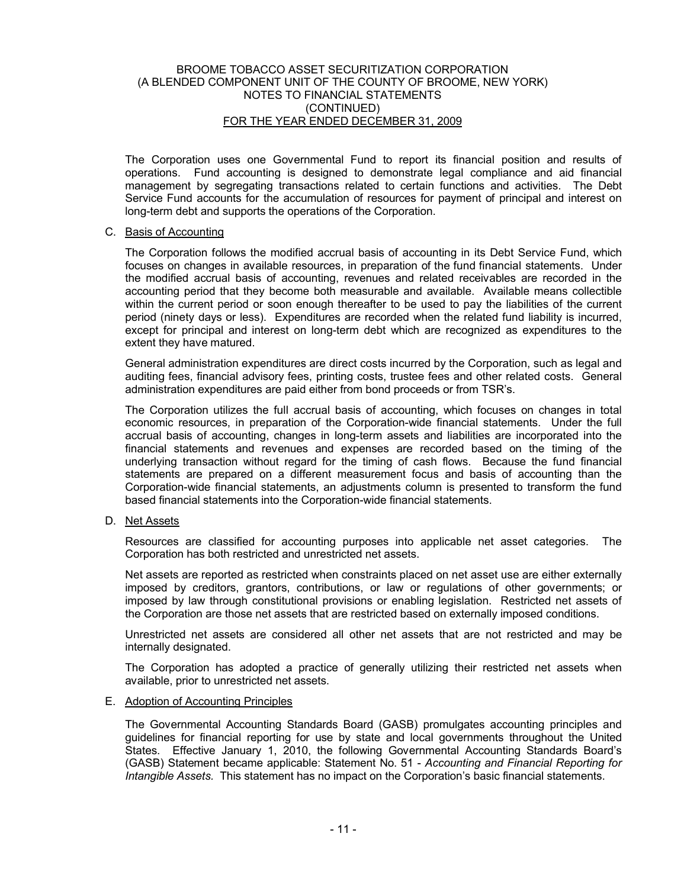The Corporation uses one Governmental Fund to report its financial position and results of operations. Fund accounting is designed to demonstrate legal compliance and aid financial management by segregating transactions related to certain functions and activities. The Debt Service Fund accounts for the accumulation of resources for payment of principal and interest on long-term debt and supports the operations of the Corporation.

#### C. Basis of Accounting

The Corporation follows the modified accrual basis of accounting in its Debt Service Fund, which focuses on changes in available resources, in preparation of the fund financial statements. Under the modified accrual basis of accounting, revenues and related receivables are recorded in the accounting period that they become both measurable and available. Available means collectible within the current period or soon enough thereafter to be used to pay the liabilities of the current period (ninety days or less). Expenditures are recorded when the related fund liability is incurred, except for principal and interest on long-term debt which are recognized as expenditures to the extent they have matured.

General administration expenditures are direct costs incurred by the Corporation, such as legal and auditing fees, financial advisory fees, printing costs, trustee fees and other related costs. General administration expenditures are paid either from bond proceeds or from TSR's.

The Corporation utilizes the full accrual basis of accounting, which focuses on changes in total economic resources, in preparation of the Corporation-wide financial statements. Under the full accrual basis of accounting, changes in long-term assets and liabilities are incorporated into the financial statements and revenues and expenses are recorded based on the timing of the underlying transaction without regard for the timing of cash flows. Because the fund financial statements are prepared on a different measurement focus and basis of accounting than the Corporation-wide financial statements, an adjustments column is presented to transform the fund based financial statements into the Corporation-wide financial statements.

#### D. Net Assets

Resources are classified for accounting purposes into applicable net asset categories. The Corporation has both restricted and unrestricted net assets.

Net assets are reported as restricted when constraints placed on net asset use are either externally imposed by creditors, grantors, contributions, or law or regulations of other governments; or imposed by law through constitutional provisions or enabling legislation. Restricted net assets of the Corporation are those net assets that are restricted based on externally imposed conditions.

Unrestricted net assets are considered all other net assets that are not restricted and may be internally designated.

The Corporation has adopted a practice of generally utilizing their restricted net assets when available, prior to unrestricted net assets.

#### E. Adoption of Accounting Principles

The Governmental Accounting Standards Board (GASB) promulgates accounting principles and guidelines for financial reporting for use by state and local governments throughout the United States. Effective January 1, 2010, the following Governmental Accounting Standards Board's (GASB) Statement became applicable: Statement No. 51 - *Accounting and Financial Reporting for Intangible Assets.* This statement has no impact on the Corporation's basic financial statements.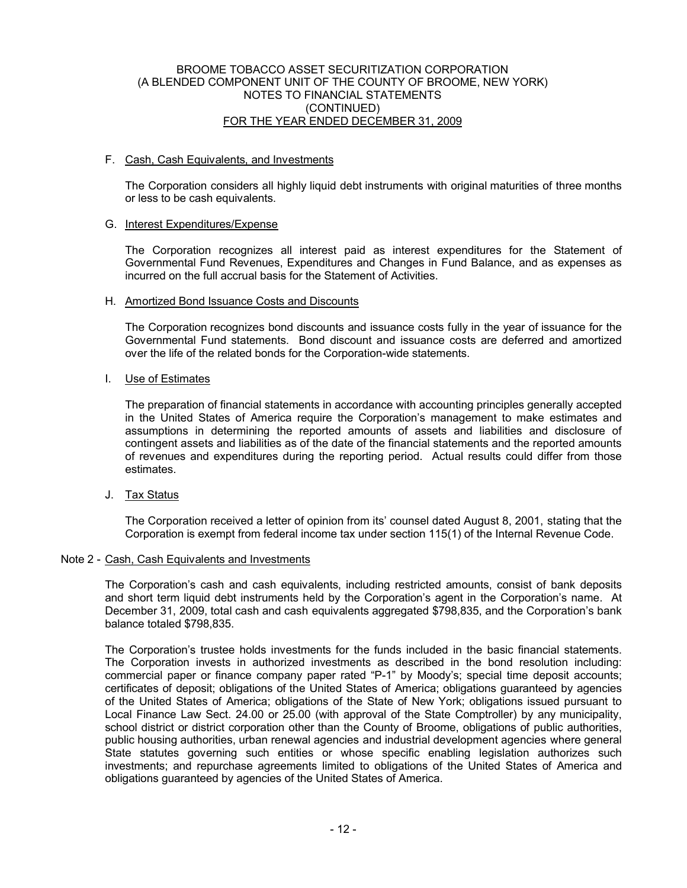#### F. Cash, Cash Equivalents, and Investments

The Corporation considers all highly liquid debt instruments with original maturities of three months or less to be cash equivalents.

#### G. Interest Expenditures/Expense

The Corporation recognizes all interest paid as interest expenditures for the Statement of Governmental Fund Revenues, Expenditures and Changes in Fund Balance, and as expenses as incurred on the full accrual basis for the Statement of Activities.

#### H. Amortized Bond Issuance Costs and Discounts

The Corporation recognizes bond discounts and issuance costs fully in the year of issuance for the Governmental Fund statements. Bond discount and issuance costs are deferred and amortized over the life of the related bonds for the Corporation-wide statements.

#### I. Use of Estimates

The preparation of financial statements in accordance with accounting principles generally accepted in the United States of America require the Corporation's management to make estimates and assumptions in determining the reported amounts of assets and liabilities and disclosure of contingent assets and liabilities as of the date of the financial statements and the reported amounts of revenues and expenditures during the reporting period. Actual results could differ from those estimates.

J. Tax Status

The Corporation received a letter of opinion from its' counsel dated August 8, 2001, stating that the Corporation is exempt from federal income tax under section 115(1) of the Internal Revenue Code.

#### Note 2 - Cash, Cash Equivalents and Investments

The Corporation's cash and cash equivalents, including restricted amounts, consist of bank deposits and short term liquid debt instruments held by the Corporation's agent in the Corporation's name. At December 31, 2009, total cash and cash equivalents aggregated \$798,835, and the Corporation's bank balance totaled \$798,835.

The Corporation's trustee holds investments for the funds included in the basic financial statements. The Corporation invests in authorized investments as described in the bond resolution including: commercial paper or finance company paper rated "P-1" by Moody's; special time deposit accounts; certificates of deposit; obligations of the United States of America; obligations guaranteed by agencies of the United States of America; obligations of the State of New York; obligations issued pursuant to Local Finance Law Sect. 24.00 or 25.00 (with approval of the State Comptroller) by any municipality, school district or district corporation other than the County of Broome, obligations of public authorities, public housing authorities, urban renewal agencies and industrial development agencies where general State statutes governing such entities or whose specific enabling legislation authorizes such investments; and repurchase agreements limited to obligations of the United States of America and obligations guaranteed by agencies of the United States of America.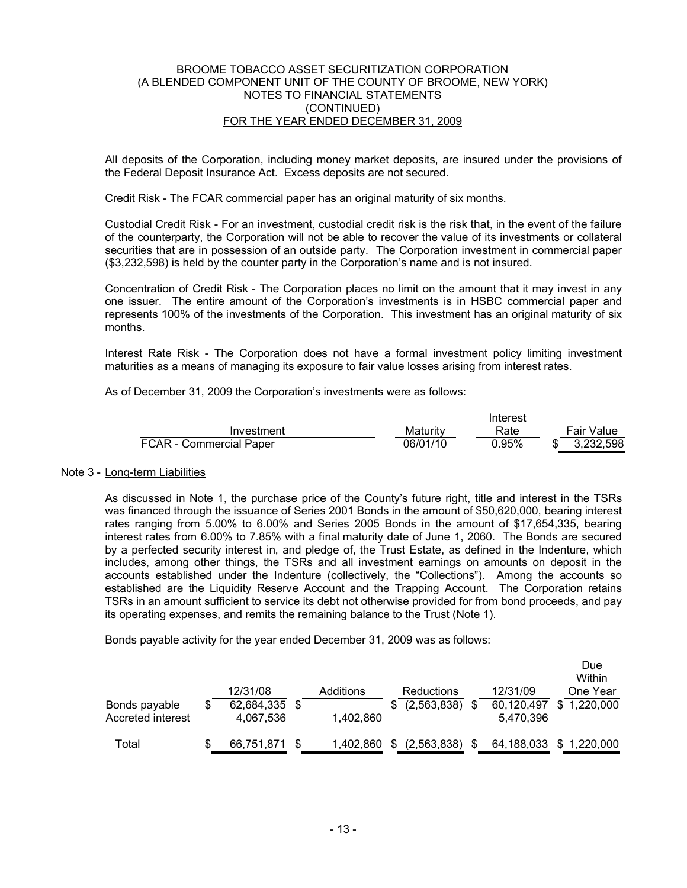All deposits of the Corporation, including money market deposits, are insured under the provisions of the Federal Deposit Insurance Act. Excess deposits are not secured.

Credit Risk - The FCAR commercial paper has an original maturity of six months.

Custodial Credit Risk - For an investment, custodial credit risk is the risk that, in the event of the failure of the counterparty, the Corporation will not be able to recover the value of its investments or collateral securities that are in possession of an outside party. The Corporation investment in commercial paper (\$3,232,598) is held by the counter party in the Corporation's name and is not insured.

Concentration of Credit Risk - The Corporation places no limit on the amount that it may invest in any one issuer. The entire amount of the Corporation's investments is in HSBC commercial paper and represents 100% of the investments of the Corporation. This investment has an original maturity of six months.

Interest Rate Risk - The Corporation does not have a formal investment policy limiting investment maturities as a means of managing its exposure to fair value losses arising from interest rates.

As of December 31, 2009 the Corporation's investments were as follows:

|                         |          | Interest |  |                   |  |  |
|-------------------------|----------|----------|--|-------------------|--|--|
| Investment              | Maturitv | Rate     |  | <b>Fair Value</b> |  |  |
| FCAR - Commercial Paper | 06/01/10 | 0.95%    |  | 3.232.598         |  |  |

#### Note 3 - Long-term Liabilities

As discussed in Note 1, the purchase price of the County's future right, title and interest in the TSRs was financed through the issuance of Series 2001 Bonds in the amount of \$50,620,000, bearing interest rates ranging from 5.00% to 6.00% and Series 2005 Bonds in the amount of \$17,654,335, bearing interest rates from 6.00% to 7.85% with a final maturity date of June 1, 2060. The Bonds are secured by a perfected security interest in, and pledge of, the Trust Estate, as defined in the Indenture, which includes, among other things, the TSRs and all investment earnings on amounts on deposit in the accounts established under the Indenture (collectively, the "Collections"). Among the accounts so established are the Liquidity Reserve Account and the Trapping Account. The Corporation retains TSRs in an amount sufficient to service its debt not otherwise provided for from bond proceeds, and pay its operating expenses, and remits the remaining balance to the Trust (Note 1).

Bonds payable activity for the year ended December 31, 2009 was as follows:

|                                    |   |                            |           |                   |                         | Due<br>Within |
|------------------------------------|---|----------------------------|-----------|-------------------|-------------------------|---------------|
|                                    |   | 12/31/08                   | Additions | <b>Reductions</b> | 12/31/09                | One Year      |
| Bonds payable<br>Accreted interest | S | 62,684,335 \$<br>4,067,536 | 1,402,860 | (2,563,838)       | 60,120,497<br>5,470,396 | \$1,220,000   |
| Total                              |   | 66,751,871                 | 1,402,860 | (2,563,838)       | 64,188,033              | \$1,220,000   |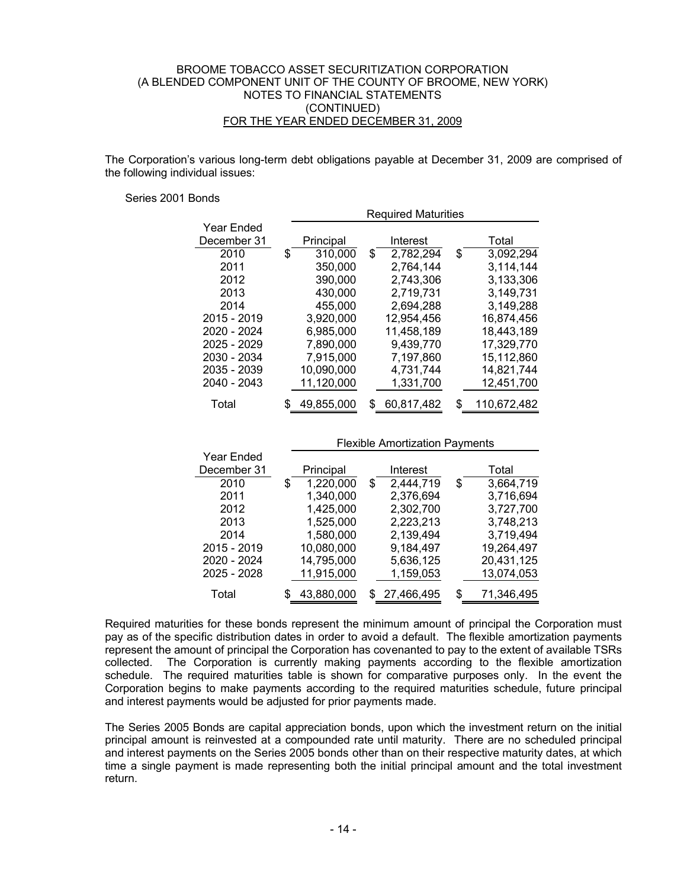The Corporation's various long-term debt obligations payable at December 31, 2009 are comprised of the following individual issues:

#### Series 2001 Bonds

|             |    | <b>Required Maturities</b> |    |            |    |             |  |  |  |
|-------------|----|----------------------------|----|------------|----|-------------|--|--|--|
| Year Ended  |    |                            |    |            |    |             |  |  |  |
| December 31 |    | Principal                  |    | Interest   |    | Total       |  |  |  |
| 2010        | \$ | 310,000                    | \$ | 2,782,294  | S  | 3,092,294   |  |  |  |
| 2011        |    | 350,000                    |    | 2,764,144  |    | 3.114.144   |  |  |  |
| 2012        |    | 390,000                    |    | 2,743,306  |    | 3,133,306   |  |  |  |
| 2013        |    | 430,000                    |    | 2,719,731  |    | 3,149,731   |  |  |  |
| 2014        |    | 455,000                    |    | 2,694,288  |    | 3.149,288   |  |  |  |
| 2015 - 2019 |    | 3,920,000                  |    | 12,954,456 |    | 16,874,456  |  |  |  |
| 2020 - 2024 |    | 6,985,000                  |    | 11,458,189 |    | 18,443,189  |  |  |  |
| 2025 - 2029 |    | 7,890,000                  |    | 9,439,770  |    | 17,329,770  |  |  |  |
| 2030 - 2034 |    | 7,915,000                  |    | 7,197,860  |    | 15,112,860  |  |  |  |
| 2035 - 2039 |    | 10,090,000                 |    | 4,731,744  |    | 14,821,744  |  |  |  |
| 2040 - 2043 |    | 11,120,000                 |    | 1,331,700  |    | 12,451,700  |  |  |  |
| Total       | S  | 49,855,000                 | S  | 60,817,482 | \$ | 110,672,482 |  |  |  |

|             | <b>Flexible Amortization Payments</b> |                 |                  |  |  |  |  |  |  |
|-------------|---------------------------------------|-----------------|------------------|--|--|--|--|--|--|
| Year Ended  |                                       |                 |                  |  |  |  |  |  |  |
| December 31 | Principal                             | Interest        | Total            |  |  |  |  |  |  |
| 2010        | 1,220,000<br>\$                       | 2,444,719<br>\$ | 3,664,719<br>\$  |  |  |  |  |  |  |
| 2011        | 1,340,000                             | 2,376,694       | 3,716,694        |  |  |  |  |  |  |
| 2012        | 1,425,000                             | 2,302,700       | 3,727,700        |  |  |  |  |  |  |
| 2013        | 1,525,000                             | 2,223,213       | 3,748,213        |  |  |  |  |  |  |
| 2014        | 1,580,000                             | 2,139,494       | 3,719,494        |  |  |  |  |  |  |
| 2015 - 2019 | 10,080,000                            | 9,184,497       | 19,264,497       |  |  |  |  |  |  |
| 2020 - 2024 | 14,795,000                            | 5,636,125       | 20,431,125       |  |  |  |  |  |  |
| 2025 - 2028 | 11,915,000                            | 1,159,053       | 13,074,053       |  |  |  |  |  |  |
| Total       | 43,880,000                            | \$27,466,495    | 71,346,495<br>\$ |  |  |  |  |  |  |

Required maturities for these bonds represent the minimum amount of principal the Corporation must pay as of the specific distribution dates in order to avoid a default. The flexible amortization payments represent the amount of principal the Corporation has covenanted to pay to the extent of available TSRs collected. The Corporation is currently making payments according to the flexible amortization schedule. The required maturities table is shown for comparative purposes only. In the event the Corporation begins to make payments according to the required maturities schedule, future principal and interest payments would be adjusted for prior payments made.

The Series 2005 Bonds are capital appreciation bonds, upon which the investment return on the initial principal amount is reinvested at a compounded rate until maturity. There are no scheduled principal and interest payments on the Series 2005 bonds other than on their respective maturity dates, at which time a single payment is made representing both the initial principal amount and the total investment return.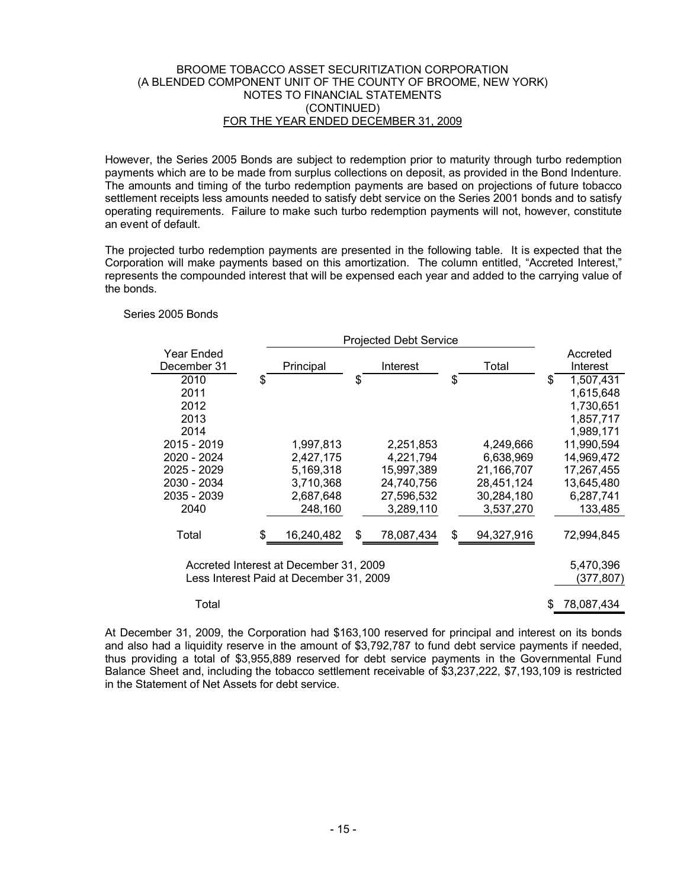However, the Series 2005 Bonds are subject to redemption prior to maturity through turbo redemption payments which are to be made from surplus collections on deposit, as provided in the Bond Indenture. The amounts and timing of the turbo redemption payments are based on projections of future tobacco settlement receipts less amounts needed to satisfy debt service on the Series 2001 bonds and to satisfy operating requirements. Failure to make such turbo redemption payments will not, however, constitute an event of default.

The projected turbo redemption payments are presented in the following table. It is expected that the Corporation will make payments based on this amortization. The column entitled, "Accreted Interest," represents the compounded interest that will be expensed each year and added to the carrying value of the bonds.

#### Series 2005 Bonds

| <b>Projected Debt Service</b> |    |                                         |    |            |    |            |   |            |
|-------------------------------|----|-----------------------------------------|----|------------|----|------------|---|------------|
| Year Ended                    |    |                                         |    |            |    |            |   | Accreted   |
| December 31                   |    | Principal                               |    | Interest   |    | Total      |   | Interest   |
| 2010                          | \$ |                                         | \$ |            | \$ |            | S | 1,507,431  |
| 2011                          |    |                                         |    |            |    |            |   | 1,615,648  |
| 2012                          |    |                                         |    |            |    |            |   | 1,730,651  |
| 2013                          |    |                                         |    |            |    |            |   | 1,857,717  |
| 2014                          |    |                                         |    |            |    |            |   | 1,989,171  |
| 2015 - 2019                   |    | 1,997,813                               |    | 2,251,853  |    | 4,249,666  |   | 11,990,594 |
| 2020 - 2024                   |    | 2,427,175                               |    | 4,221,794  |    | 6,638,969  |   | 14,969,472 |
| 2025 - 2029                   |    | 5,169,318                               |    | 15,997,389 |    | 21,166,707 |   | 17,267,455 |
| 2030 - 2034                   |    | 3,710,368                               |    | 24,740,756 |    | 28,451,124 |   | 13,645,480 |
| 2035 - 2039                   |    | 2,687,648                               |    | 27,596,532 |    | 30,284,180 |   | 6,287,741  |
| 2040                          |    | 248,160                                 |    | 3,289,110  |    | 3,537,270  |   | 133.485    |
|                               |    |                                         |    |            |    |            |   |            |
| Total                         | \$ | 16,240,482                              | \$ | 78,087,434 | \$ | 94,327,916 |   | 72,994,845 |
|                               |    |                                         |    |            |    |            |   |            |
|                               |    | Accreted Interest at December 31, 2009  |    |            |    |            |   | 5,470,396  |
|                               |    | Less Interest Paid at December 31, 2009 |    |            |    |            |   | (377,807)  |
|                               |    |                                         |    |            |    |            |   |            |
| Total                         |    |                                         |    |            |    |            |   | 78,087,434 |
|                               |    |                                         |    |            |    |            |   |            |

At December 31, 2009, the Corporation had \$163,100 reserved for principal and interest on its bonds and also had a liquidity reserve in the amount of \$3,792,787 to fund debt service payments if needed, thus providing a total of \$3,955,889 reserved for debt service payments in the Governmental Fund Balance Sheet and, including the tobacco settlement receivable of \$3,237,222, \$7,193,109 is restricted in the Statement of Net Assets for debt service.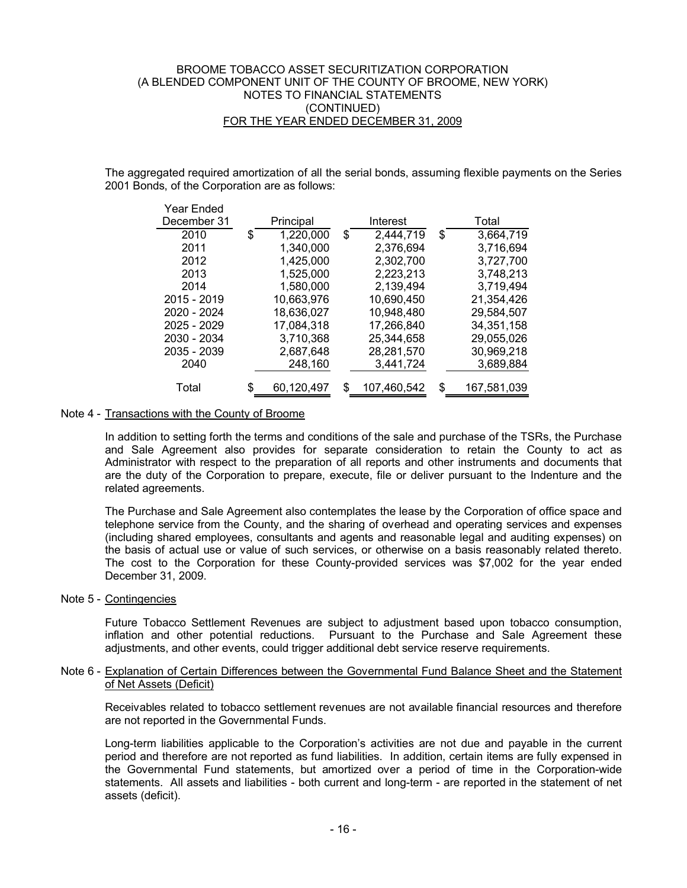The aggregated required amortization of all the serial bonds, assuming flexible payments on the Series 2001 Bonds, of the Corporation are as follows:

| Year Ended<br>December 31 | Principal        | Interest          |    | Total       |
|---------------------------|------------------|-------------------|----|-------------|
| 2010                      | \$<br>1,220,000  | \$<br>2.444.719   | \$ | 3,664,719   |
| 2011                      | 1,340,000        | 2,376,694         |    | 3,716,694   |
| 2012                      | 1,425,000        | 2,302,700         |    | 3,727,700   |
| 2013                      | 1,525,000        | 2,223,213         |    | 3,748,213   |
| 2014                      | 1,580,000        | 2,139,494         |    | 3,719,494   |
| 2015 - 2019               | 10,663,976       | 10,690,450        |    | 21,354,426  |
| 2020 - 2024               | 18,636,027       | 10,948,480        |    | 29,584,507  |
| 2025 - 2029               | 17,084,318       | 17,266,840        |    | 34,351,158  |
| 2030 - 2034               | 3,710,368        | 25,344,658        |    | 29,055,026  |
| 2035 - 2039               | 2,687,648        | 28,281,570        |    | 30,969,218  |
| 2040                      | 248,160          | 3,441,724         |    | 3,689,884   |
|                           |                  |                   |    |             |
| Total                     | \$<br>60,120,497 | \$<br>107,460,542 | S  | 167,581,039 |

## Note 4 - Transactions with the County of Broome

In addition to setting forth the terms and conditions of the sale and purchase of the TSRs, the Purchase and Sale Agreement also provides for separate consideration to retain the County to act as Administrator with respect to the preparation of all reports and other instruments and documents that are the duty of the Corporation to prepare, execute, file or deliver pursuant to the Indenture and the related agreements.

The Purchase and Sale Agreement also contemplates the lease by the Corporation of office space and telephone service from the County, and the sharing of overhead and operating services and expenses (including shared employees, consultants and agents and reasonable legal and auditing expenses) on the basis of actual use or value of such services, or otherwise on a basis reasonably related thereto. The cost to the Corporation for these County-provided services was \$7,002 for the year ended December 31, 2009.

Note 5 - Contingencies

Future Tobacco Settlement Revenues are subject to adjustment based upon tobacco consumption, inflation and other potential reductions. Pursuant to the Purchase and Sale Agreement these adjustments, and other events, could trigger additional debt service reserve requirements.

#### Note 6 - Explanation of Certain Differences between the Governmental Fund Balance Sheet and the Statement of Net Assets (Deficit)

Receivables related to tobacco settlement revenues are not available financial resources and therefore are not reported in the Governmental Funds.

Long-term liabilities applicable to the Corporation's activities are not due and payable in the current period and therefore are not reported as fund liabilities. In addition, certain items are fully expensed in the Governmental Fund statements, but amortized over a period of time in the Corporation-wide statements. All assets and liabilities - both current and long-term - are reported in the statement of net assets (deficit).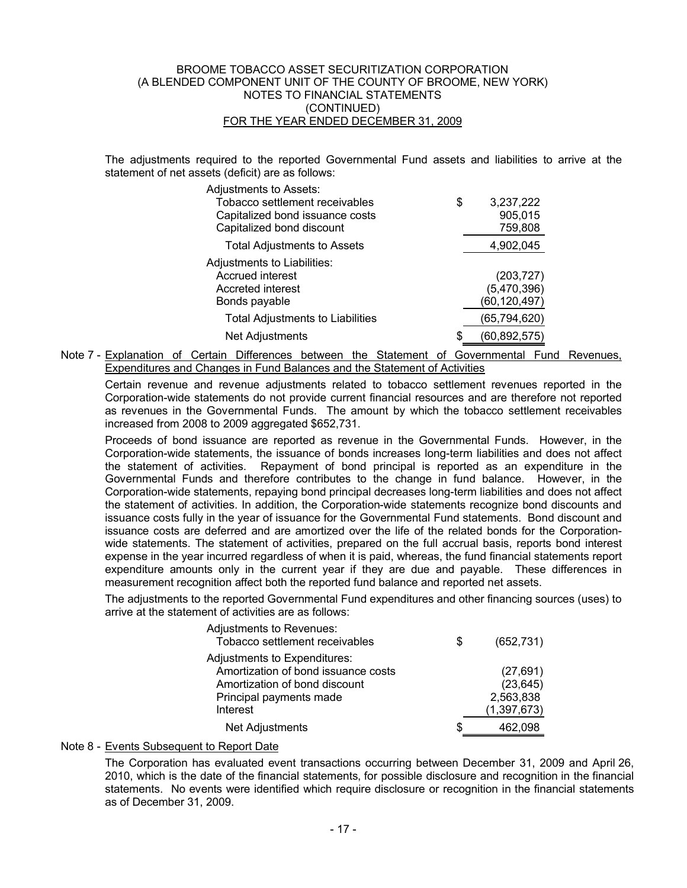The adjustments required to the reported Governmental Fund assets and liabilities to arrive at the statement of net assets (deficit) are as follows:

| Adjustments to Assets:<br>Tobacco settlement receivables | 3,237,222<br>\$       |
|----------------------------------------------------------|-----------------------|
|                                                          | 905,015               |
| Capitalized bond issuance costs                          |                       |
| Capitalized bond discount                                | 759,808               |
| <b>Total Adjustments to Assets</b>                       | 4,902,045             |
| Adjustments to Liabilities:                              |                       |
| Accrued interest                                         | (203, 727)            |
| Accreted interest                                        | (5,470,396)           |
| Bonds payable                                            | (60,120,497)          |
| <b>Total Adjustments to Liabilities</b>                  | (65, 794, 620)        |
| Net Adjustments                                          | (60, 892, 575)<br>\$. |
|                                                          |                       |

 Note 7 - Explanation of Certain Differences between the Statement of Governmental Fund Revenues, Expenditures and Changes in Fund Balances and the Statement of Activities

Certain revenue and revenue adjustments related to tobacco settlement revenues reported in the Corporation-wide statements do not provide current financial resources and are therefore not reported as revenues in the Governmental Funds. The amount by which the tobacco settlement receivables increased from 2008 to 2009 aggregated \$652,731.

Proceeds of bond issuance are reported as revenue in the Governmental Funds. However, in the Corporation-wide statements, the issuance of bonds increases long-term liabilities and does not affect the statement of activities. Repayment of bond principal is reported as an expenditure in the Governmental Funds and therefore contributes to the change in fund balance. However, in the Corporation-wide statements, repaying bond principal decreases long-term liabilities and does not affect the statement of activities. In addition, the Corporation-wide statements recognize bond discounts and issuance costs fully in the year of issuance for the Governmental Fund statements. Bond discount and issuance costs are deferred and are amortized over the life of the related bonds for the Corporationwide statements. The statement of activities, prepared on the full accrual basis, reports bond interest expense in the year incurred regardless of when it is paid, whereas, the fund financial statements report expenditure amounts only in the current year if they are due and payable. These differences in measurement recognition affect both the reported fund balance and reported net assets.

The adjustments to the reported Governmental Fund expenditures and other financing sources (uses) to arrive at the statement of activities are as follows:

| Adjustments to Revenues:<br>Tobacco settlement receivables | \$ | (652, 731)    |
|------------------------------------------------------------|----|---------------|
| Adjustments to Expenditures:                               |    |               |
| Amortization of bond issuance costs                        |    | (27, 691)     |
| Amortization of bond discount                              |    | (23, 645)     |
| Principal payments made                                    |    | 2,563,838     |
| Interest                                                   |    | (1, 397, 673) |
| Net Adjustments                                            | S  | 462.<br>098   |

## Note 8 - Events Subsequent to Report Date

The Corporation has evaluated event transactions occurring between December 31, 2009 and April 26, 2010, which is the date of the financial statements, for possible disclosure and recognition in the financial statements. No events were identified which require disclosure or recognition in the financial statements as of December 31, 2009.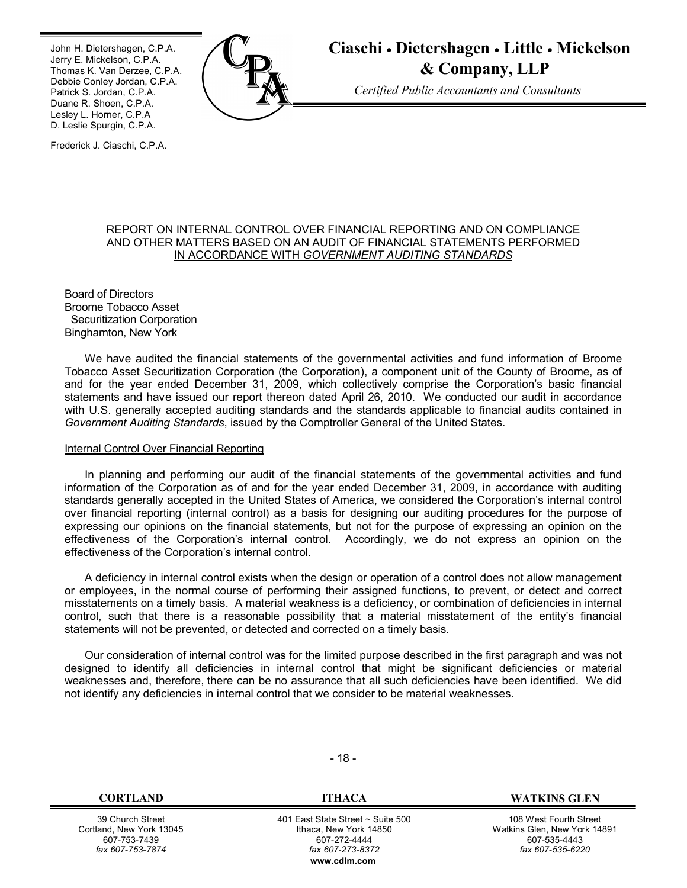٦ John H. Dietershagen, C.P.A. Jerry E. Mickelson, C.P.A. Thomas K. Van Derzee, C.P.A. Debbie Conley Jordan, C.P.A. Patrick S. Jordan, C.P.A. Duane R. Shoen, C.P.A. Lesley L. Horner, C.P.A D. Leslie Spurgin, C.P.A.



**Ciaschi Dietershagen Little Mickelson & Company, LLP**

 *Certified Public Accountants and Consultants*

1 Frederick J. Ciaschi, C.P.A.

#### REPORT ON INTERNAL CONTROL OVER FINANCIAL REPORTING AND ON COMPLIANCE AND OTHER MATTERS BASED ON AN AUDIT OF FINANCIAL STATEMENTS PERFORMED IN ACCORDANCE WITH *GOVERNMENT AUDITING STANDARDS*

Board of Directors Broome Tobacco Asset Securitization Corporation Binghamton, New York

We have audited the financial statements of the governmental activities and fund information of Broome Tobacco Asset Securitization Corporation (the Corporation), a component unit of the County of Broome, as of and for the year ended December 31, 2009, which collectively comprise the Corporation's basic financial statements and have issued our report thereon dated April 26, 2010. We conducted our audit in accordance with U.S. generally accepted auditing standards and the standards applicable to financial audits contained in *Government Auditing Standards*, issued by the Comptroller General of the United States.

#### Internal Control Over Financial Reporting

In planning and performing our audit of the financial statements of the governmental activities and fund information of the Corporation as of and for the year ended December 31, 2009, in accordance with auditing standards generally accepted in the United States of America, we considered the Corporation's internal control over financial reporting (internal control) as a basis for designing our auditing procedures for the purpose of expressing our opinions on the financial statements, but not for the purpose of expressing an opinion on the effectiveness of the Corporation's internal control. Accordingly, we do not express an opinion on the effectiveness of the Corporation's internal control.

A deficiency in internal control exists when the design or operation of a control does not allow management or employees, in the normal course of performing their assigned functions, to prevent, or detect and correct misstatements on a timely basis. A material weakness is a deficiency, or combination of deficiencies in internal control, such that there is a reasonable possibility that a material misstatement of the entity's financial statements will not be prevented, or detected and corrected on a timely basis.

Our consideration of internal control was for the limited purpose described in the first paragraph and was not designed to identify all deficiencies in internal control that might be significant deficiencies or material weaknesses and, therefore, there can be no assurance that all such deficiencies have been identified. We did not identify any deficiencies in internal control that we consider to be material weaknesses.

39 Church Street Cortland, New York 13045 607-753-7439 *fax 607-753-7874*

- 18 -

 401 East State Street ~ Suite 500 Ithaca, New York 14850 607-272-4444  *fax 607-273-8372*  **w[ww.cdlm.com](www.cdlm.com)**

**CORTLAND ITHACA WATKINS GLEN**

108 West Fourth Street Watkins Glen, New York 14891 607-535-4443 *fax 607-535-6220*